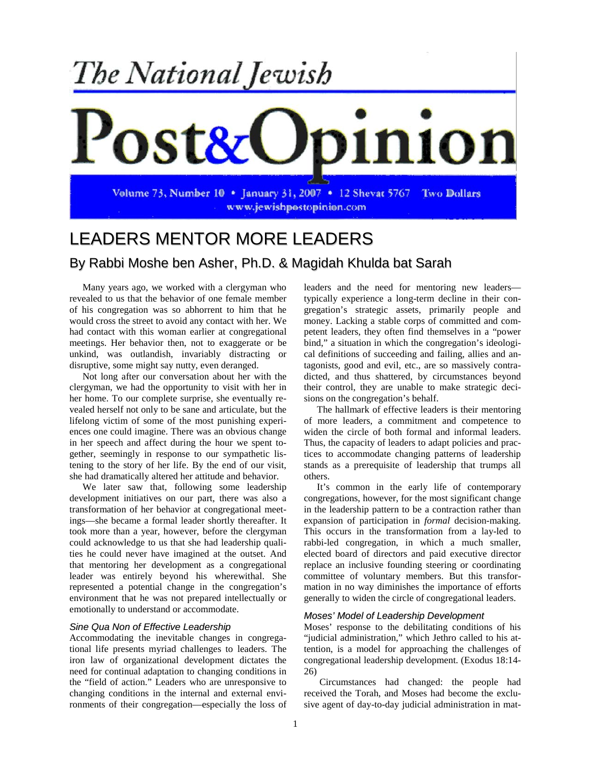

# LEADERS MENTOR MORE LEADERS

## By Rabbi Moshe ben Asher, Ph.D. & Magidah Khulda bat Sarah

Many years ago, we worked with a clergyman who revealed to us that the behavior of one female member of his congregation was so abhorrent to him that he would cross the street to avoid any contact with her. We had contact with this woman earlier at congregational meetings. Her behavior then, not to exaggerate or be unkind, was outlandish, invariably distracting or disruptive, some might say nutty, even deranged.

Not long after our conversation about her with the clergyman, we had the opportunity to visit with her in her home. To our complete surprise, she eventually revealed herself not only to be sane and articulate, but the lifelong victim of some of the most punishing experiences one could imagine. There was an obvious change in her speech and affect during the hour we spent together, seemingly in response to our sympathetic listening to the story of her life. By the end of our visit, she had dramatically altered her attitude and behavior.

We later saw that, following some leadership development initiatives on our part, there was also a transformation of her behavior at congregational meetings—she became a formal leader shortly thereafter. It took more than a year, however, before the clergyman could acknowledge to us that she had leadership qualities he could never have imagined at the outset. And that mentoring her development as a congregational leader was entirely beyond his wherewithal. She represented a potential change in the congregation's environment that he was not prepared intellectually or emotionally to understand or accommodate.

### *Sine Qua Non of Effective Leadership*

Accommodating the inevitable changes in congregational life presents myriad challenges to leaders. The iron law of organizational development dictates the need for continual adaptation to changing conditions in the "field of action." Leaders who are unresponsive to changing conditions in the internal and external environments of their congregation—especially the loss of leaders and the need for mentoring new leaders typically experience a long-term decline in their congregation's strategic assets, primarily people and money. Lacking a stable corps of committed and competent leaders, they often find themselves in a "power bind," a situation in which the congregation's ideological definitions of succeeding and failing, allies and antagonists, good and evil, etc., are so massively contradicted, and thus shattered, by circumstances beyond their control, they are unable to make strategic decisions on the congregation's behalf.

The hallmark of effective leaders is their mentoring of more leaders, a commitment and competence to widen the circle of both formal and informal leaders. Thus, the capacity of leaders to adapt policies and practices to accommodate changing patterns of leadership stands as a prerequisite of leadership that trumps all others.

It's common in the early life of contemporary congregations, however, for the most significant change in the leadership pattern to be a contraction rather than expansion of participation in *formal* decision-making. This occurs in the transformation from a lay-led to rabbi-led congregation, in which a much smaller, elected board of directors and paid executive director replace an inclusive founding steering or coordinating committee of voluntary members. But this transformation in no way diminishes the importance of efforts generally to widen the circle of congregational leaders.

#### *Moses' Model of Leadership Development*

Moses' response to the debilitating conditions of his "judicial administration," which Jethro called to his attention, is a model for approaching the challenges of congregational leadership development. (Exodus 18:14- 26)

Circumstances had changed: the people had received the Torah, and Moses had become the exclusive agent of day-to-day judicial administration in mat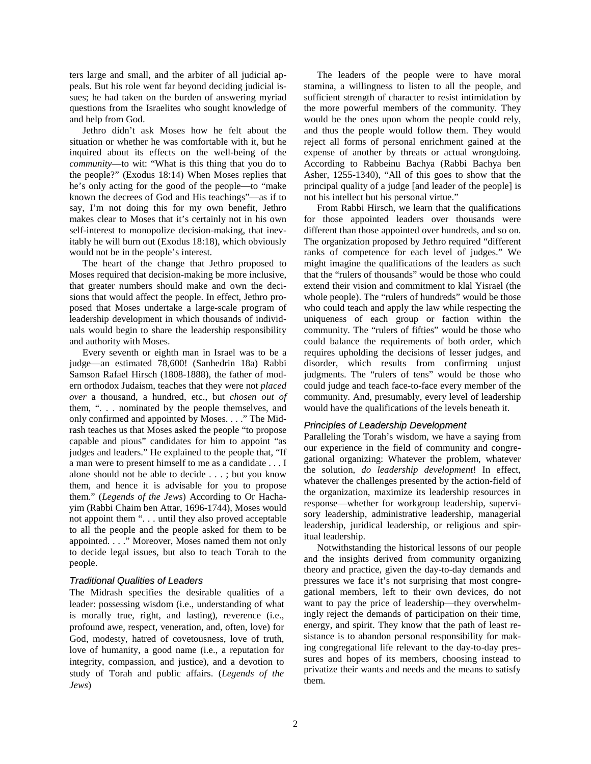ters large and small, and the arbiter of all judicial appeals. But his role went far beyond deciding judicial issues; he had taken on the burden of answering myriad questions from the Israelites who sought knowledge of and help from God.

Jethro didn't ask Moses how he felt about the situation or whether he was comfortable with it, but he inquired about its effects on the well-being of the *community*—to wit: "What is this thing that you do to the people?" (Exodus 18:14) When Moses replies that he's only acting for the good of the people—to "make known the decrees of God and His teachings"—as if to say, I'm not doing this for my own benefit, Jethro makes clear to Moses that it's certainly not in his own self-interest to monopolize decision-making, that inevitably he will burn out (Exodus 18:18), which obviously would not be in the people's interest.

The heart of the change that Jethro proposed to Moses required that decision-making be more inclusive, that greater numbers should make and own the decisions that would affect the people. In effect, Jethro proposed that Moses undertake a large-scale program of leadership development in which thousands of individuals would begin to share the leadership responsibility and authority with Moses.

Every seventh or eighth man in Israel was to be a judge—an estimated 78,600! (Sanhedrin 18a) Rabbi Samson Rafael Hirsch (1808-1888), the father of modern orthodox Judaism, teaches that they were not *placed over* a thousand, a hundred, etc., but *chosen out of* them, ". . . nominated by the people themselves, and only confirmed and appointed by Moses. . . ." The Midrash teaches us that Moses asked the people "to propose capable and pious" candidates for him to appoint "as judges and leaders." He explained to the people that, "If a man were to present himself to me as a candidate . . . I alone should not be able to decide . . . ; but you know them, and hence it is advisable for you to propose them." (*Legends of the Jews*) According to Or Hachayim (Rabbi Chaim ben Attar, 1696-1744), Moses would not appoint them ". . . until they also proved acceptable to all the people and the people asked for them to be appointed. . . ." Moreover, Moses named them not only to decide legal issues, but also to teach Torah to the people.

#### *Traditional Qualities of Leaders*

The Midrash specifies the desirable qualities of a leader: possessing wisdom (i.e., understanding of what is morally true, right, and lasting), reverence (i.e., profound awe, respect, veneration, and, often, love) for God, modesty, hatred of covetousness, love of truth, love of humanity, a good name (i.e., a reputation for integrity, compassion, and justice), and a devotion to study of Torah and public affairs. (*Legends of the Jews*)

The leaders of the people were to have moral stamina, a willingness to listen to all the people, and sufficient strength of character to resist intimidation by the more powerful members of the community. They would be the ones upon whom the people could rely, and thus the people would follow them. They would reject all forms of personal enrichment gained at the expense of another by threats or actual wrongdoing. According to Rabbeinu Bachya (Rabbi Bachya ben Asher, 1255-1340), "All of this goes to show that the principal quality of a judge [and leader of the people] is not his intellect but his personal virtue."

From Rabbi Hirsch, we learn that the qualifications for those appointed leaders over thousands were different than those appointed over hundreds, and so on. The organization proposed by Jethro required "different ranks of competence for each level of judges." We might imagine the qualifications of the leaders as such that the "rulers of thousands" would be those who could extend their vision and commitment to klal Yisrael (the whole people). The "rulers of hundreds" would be those who could teach and apply the law while respecting the uniqueness of each group or faction within the community. The "rulers of fifties" would be those who could balance the requirements of both order, which requires upholding the decisions of lesser judges, and disorder, which results from confirming unjust judgments. The "rulers of tens" would be those who could judge and teach face-to-face every member of the community. And, presumably, every level of leadership would have the qualifications of the levels beneath it.

#### *Principles of Leadership Development*

Paralleling the Torah's wisdom, we have a saying from our experience in the field of community and congregational organizing: Whatever the problem, whatever the solution, *do leadership development*! In effect, whatever the challenges presented by the action-field of the organization, maximize its leadership resources in response—whether for workgroup leadership, supervisory leadership, administrative leadership, managerial leadership, juridical leadership, or religious and spiritual leadership.

Notwithstanding the historical lessons of our people and the insights derived from community organizing theory and practice, given the day-to-day demands and pressures we face it's not surprising that most congregational members, left to their own devices, do not want to pay the price of leadership—they overwhelmingly reject the demands of participation on their time, energy, and spirit. They know that the path of least resistance is to abandon personal responsibility for making congregational life relevant to the day-to-day pressures and hopes of its members, choosing instead to privatize their wants and needs and the means to satisfy them.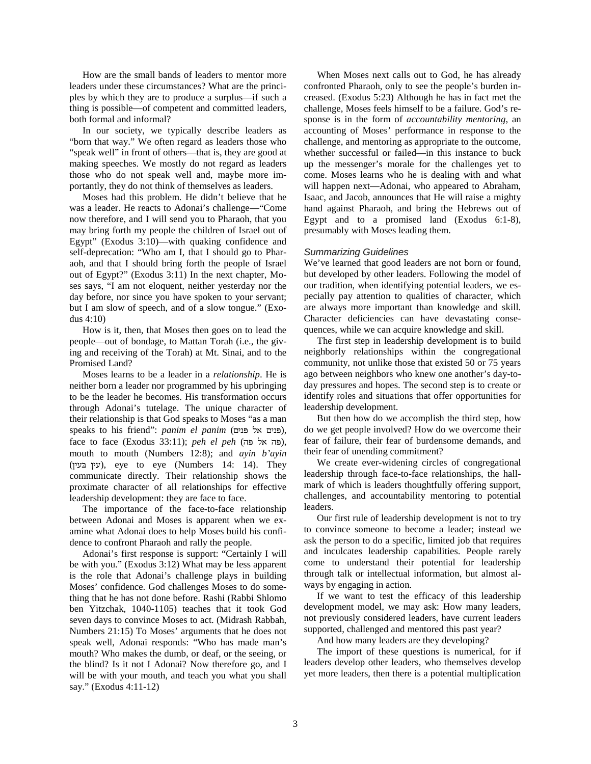How are the small bands of leaders to mentor more leaders under these circumstances? What are the principles by which they are to produce a surplus—if such a thing is possible—of competent and committed leaders, both formal and informal?

In our society, we typically describe leaders as "born that way." We often regard as leaders those who "speak well" in front of others—that is, they are good at making speeches. We mostly do not regard as leaders those who do not speak well and, maybe more importantly, they do not think of themselves as leaders.

Moses had this problem. He didn't believe that he was a leader. He reacts to Adonai's challenge—"Come now therefore, and I will send you to Pharaoh, that you may bring forth my people the children of Israel out of Egypt" (Exodus 3:10)—with quaking confidence and self-deprecation: "Who am I, that I should go to Pharaoh, and that I should bring forth the people of Israel out of Egypt?" (Exodus 3:11) In the next chapter, Moses says, "I am not eloquent, neither yesterday nor the day before, nor since you have spoken to your servant; but I am slow of speech, and of a slow tongue." (Exodus 4:10)

How is it, then, that Moses then goes on to lead the people—out of bondage, to Mattan Torah (i.e., the giving and receiving of the Torah) at Mt. Sinai, and to the Promised Land?

Moses learns to be a leader in a *relationship*. He is neither born a leader nor programmed by his upbringing to be the leader he becomes. His transformation occurs through Adonai's tutelage. The unique character of their relationship is that God speaks to Moses "as a man speaks to his friend": *panim el panim* (פנים אל פנים), face to face (Exodus 33:11); *peh el peh* (פה אל פה), mouth to mouth (Numbers 12:8); and *ayin b'ayin* ( ), eye to eye (Numbers 14: 14). They communicate directly. Their relationship shows the proximate character of all relationships for effective leadership development: they are face to face.

The importance of the face-to-face relationship between Adonai and Moses is apparent when we examine what Adonai does to help Moses build his confidence to confront Pharaoh and rally the people.

Adonai's first response is support: "Certainly I will be with you." (Exodus 3:12) What may be less apparent is the role that Adonai's challenge plays in building Moses' confidence. God challenges Moses to do something that he has not done before. Rashi (Rabbi Shlomo ben Yitzchak, 1040-1105) teaches that it took God seven days to convince Moses to act. (Midrash Rabbah, Numbers 21:15) To Moses' arguments that he does not speak well, Adonai responds: "Who has made man's mouth? Who makes the dumb, or deaf, or the seeing, or the blind? Is it not I Adonai? Now therefore go, and I will be with your mouth, and teach you what you shall say." (Exodus 4:11-12)

When Moses next calls out to God, he has already confronted Pharaoh, only to see the people's burden increased. (Exodus 5:23) Although he has in fact met the challenge, Moses feels himself to be a failure. God's response is in the form of *accountability mentoring*, an accounting of Moses' performance in response to the challenge, and mentoring as appropriate to the outcome, whether successful or failed—in this instance to buck up the messenger's morale for the challenges yet to come. Moses learns who he is dealing with and what will happen next—Adonai, who appeared to Abraham, Isaac, and Jacob, announces that He will raise a mighty hand against Pharaoh, and bring the Hebrews out of Egypt and to a promised land (Exodus 6:1-8), presumably with Moses leading them.

#### *Summarizing Guidelines*

We've learned that good leaders are not born or found, but developed by other leaders. Following the model of our tradition, when identifying potential leaders, we especially pay attention to qualities of character, which are always more important than knowledge and skill. Character deficiencies can have devastating consequences, while we can acquire knowledge and skill.

The first step in leadership development is to build neighborly relationships within the congregational community, not unlike those that existed 50 or 75 years ago between neighbors who knew one another's day-today pressures and hopes. The second step is to create or identify roles and situations that offer opportunities for leadership development.

But then how do we accomplish the third step, how do we get people involved? How do we overcome their fear of failure, their fear of burdensome demands, and their fear of unending commitment?

We create ever-widening circles of congregational leadership through face-to-face relationships, the hallmark of which is leaders thoughtfully offering support, challenges, and accountability mentoring to potential leaders.

Our first rule of leadership development is not to try to convince someone to become a leader; instead we ask the person to do a specific, limited job that requires and inculcates leadership capabilities. People rarely come to understand their potential for leadership through talk or intellectual information, but almost always by engaging in action.

If we want to test the efficacy of this leadership development model, we may ask: How many leaders, not previously considered leaders, have current leaders supported, challenged and mentored this past year?

And how many leaders are they developing?

The import of these questions is numerical, for if leaders develop other leaders, who themselves develop yet more leaders, then there is a potential multiplication